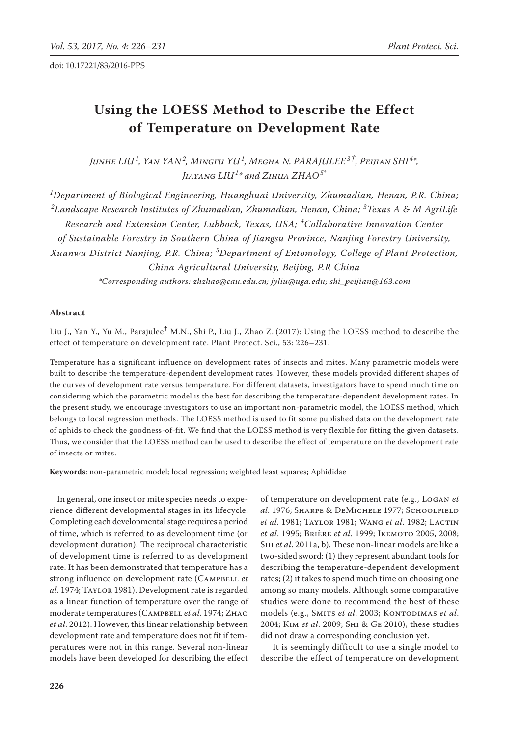# Using the LOESS Method to Describe the Effect **of Temperature on Development Rate**

*Junhe Liu<sup>1</sup> , Yan Yan<sup>2</sup> , Mingfu Yu<sup>1</sup> , Megha N. Parajulee3†, Peijian Shi <sup>4</sup> \*, Jiayang Liu<sup>1</sup> \* and Zihua Zhao5\**

*1 Department of Biological Engineering, Huanghuai University, Zhumadian, Henan, P.R. China; 2 Landscape Research Institutes of Zhumadian, Zhumadian, Henan, China; <sup>3</sup> Texas A & M AgriLife Research and Extension Center, Lubbock, Texas, USA; <sup>4</sup> Collaborative Innovation Center of Sustainable Forestry in Southern China of Jiangsu Province, Nanjing Forestry University, Xuanwu District Nanjing, P.R. China; <sup>5</sup> Department of Entomology, College of Plant Protection, China Agricultural University, Beijing, P.R China \*Corresponding authors: zhzhao@cau.edu.cn; jyliu@uga.edu; shi\_peijian@163.com*

## **Abstract**

Liu J., Yan Y., Yu M., Parajulee<sup>†</sup> M.N., Shi P., Liu J., Zhao Z. (2017): Using the LOESS method to describe the effect of temperature on development rate. Plant Protect. Sci., 53: 226–231.

Temperature has a significant influence on development rates of insects and mites. Many parametric models were built to describe the temperature-dependent development rates. However, these models provided different shapes of the curves of development rate versus temperature. For different datasets, investigators have to spend much time on considering which the parametric model is the best for describing the temperature-dependent development rates. In the present study, we encourage investigators to use an important non-parametric model, the LOESS method, which belongs to local regression methods. The LOESS method is used to fit some published data on the development rate of aphids to check the goodness-of-fit. We find that the LOESS method is very flexible for fitting the given datasets. Thus, we consider that the LOESS method can be used to describe the effect of temperature on the development rate of insects or mites.

**Keywords**: non-parametric model; local regression; weighted least squares; Aphididae

In general, one insect or mite species needs to experience different developmental stages in its lifecycle. Completing each developmental stage requires a period of time, which is referred to as development time (or development duration). The reciprocal characteristic of development time is referred to as development rate. It has been demonstrated that temperature has a strong influence on development rate (CAMPBELL et *al*. 1974; Taylor 1981). Development rate is regarded as a linear function of temperature over the range of moderate temperatures (Campbell *et al*. 1974; Zhao *et al*. 2012). However, this linear relationship between development rate and temperature does not fit if temperatures were not in this range. Several non-linear models have been developed for describing the effect of temperature on development rate (e.g., Logan *et al*. 1976; Sharpe & DeMichele 1977; Schoolfield *et al*. 1981; Taylor 1981; Wang *et al*. 1982; Lactin *et al*. 1995; Brière *et al*. 1999; Ikemoto 2005, 2008; Shi *et al*. 2011a, b). These non-linear models are like a two-sided sword: (1) they represent abundant tools for describing the temperature-dependent development rates; (2) it takes to spend much time on choosing one among so many models. Although some comparative studies were done to recommend the best of these models (e.g., SMITS *et al.* 2003; KONTODIMAS *et al.* 2004; Kim *et al*. 2009; Shi & Ge 2010), these studies did not draw a corresponding conclusion yet.

 It is seemingly difficult to use a single model to describe the effect of temperature on development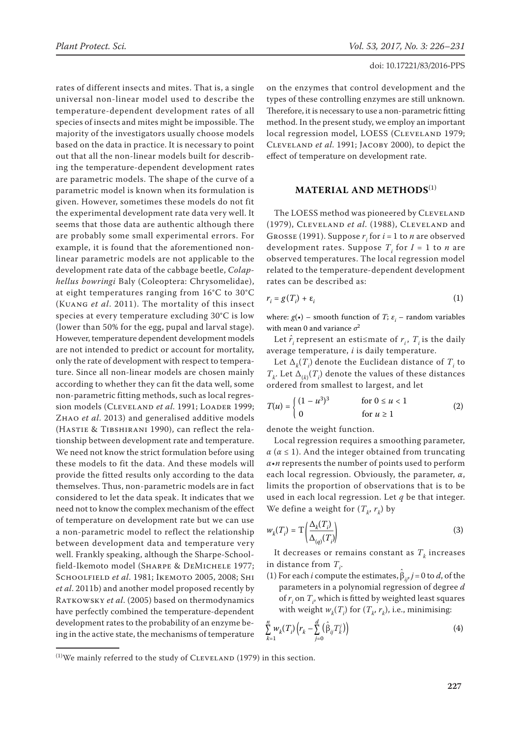rates of different insects and mites. That is, a single universal non-linear model used to describe the temperature-dependent development rates of all species of insects and mites might be impossible. The majority of the investigators usually choose models based on the data in practice. It is necessary to point out that all the non-linear models built for describing the temperature-dependent development rates are parametric models. The shape of the curve of a parametric model is known when its formulation is given. However, sometimes these models do not fit the experimental development rate data very well. It seems that those data are authentic although there are probably some small experimental errors. For example, it is found that the aforementioned nonlinear parametric models are not applicable to the development rate data of the cabbage beetle, *Colaphellus bowringi* Baly (Coleoptera: Chrysomelidae), at eight temperatures ranging from 16°C to 30°C (Kuang *et al*. 2011). The mortality of this insect species at every temperature excluding 30°C is low (lower than 50% for the egg, pupal and larval stage). However, temperature dependent development models are not intended to predict or account for mortality, only the rate of development with respect to temperature. Since all non-linear models are chosen mainly according to whether they can fit the data well, some non-parametric fitting methods, such as local regression models (CLEVELAND et al. 1991; LOADER 1999; Zhao *et al*. 2013) and generalised additive models (Hastie & Tibshirani 1990), can reflect the relationship between development rate and temperature. We need not know the strict formulation before using these models to fit the data. And these models will provide the fitted results only according to the data themselves. Thus, non-parametric models are in fact considered to let the data speak. It indicates that we need not to know the complex mechanism of the effect of temperature on development rate but we can use a non-parametric model to reflect the relationship between development data and temperature very well. Frankly speaking, although the Sharpe-Schoolfield-Ikemoto model (Sharpe & DeMichele 1977; Schoolfield *et al*. 1981; Ikemoto 2005, 2008; Shi *et al*. 2011b) and another model proposed recently by RATKOWSKY *et al.* (2005) based on thermodynamics have perfectly combined the temperature-dependent development rates to the probability of an enzyme being in the active state, the mechanisms of temperature

on the enzymes that control development and the types of these controlling enzymes are still unknown. Therefore, it is necessary to use a non-parametric fitting method. In the present study, we employ an important local regression model, LOESS (CLEVELAND 1979; Cleveland *et al*. 1991; Jacoby 2000), to depict the effect of temperature on development rate.

## **Material and methods**(1)

The LOESS method was pioneered by CLEVELAND (1979), Cleveland *et al*. (1988), Cleveland and Grosse (1991). Suppose  $r_i$  for  $i = 1$  to  $n$  are observed development rates. Suppose  $T_i$  for  $I = 1$  to  $n$  are observed temperatures. The local regression model related to the temperature-dependent development rates can be described as:

$$
r_i = g(T_i) + \varepsilon_i \tag{1}
$$

where:  $g(\cdot)$  – smooth function of *T*;  $\varepsilon$ <sub>*i*</sub> – random variables with mean 0 and variance  $\sigma^2$ 

Let  $\hat{r}_i$  represent an esti≤mate of  $r_i$ ,  $T_i$  is the daily average temperature, *i* is daily temperature.

Let  $\Delta_k(T_i)$  denote the Euclidean distance of  $T_i$  to  $T_k$ . Let  $\Delta_{(k)}(T_i)$  denote the values of these distances ordered from smallest to largest, and let

$$
T(u) = \begin{cases} (1 - u^3)^3 & \text{for } 0 \le u < 1 \\ 0 & \text{for } u \ge 1 \end{cases}
$$
 (2)

denote the weight function.

Local regression requires a smoothing parameter,  $\alpha$  ( $\alpha \leq 1$ ). And the integer obtained from truncating *α*•*n* represents the number of points used to perform each local regression. Obviously, the parameter, *α*, limits the proportion of observations that is to be used in each local regression. Let *q* be that integer. We define a weight for  $(T_k, r_k)$  by

$$
w_k(T_i) = T\left(\frac{\Delta_k(T_i)}{\Delta_{(q)}(T_i)}\right)
$$
\n(3)

It decreases or remains constant as  $T_k$  increases in distance from  $T_i$ .

(1) For each *i* compute the estimates,  $\hat{\beta}_{ij'}$  *j* = 0 to *d*, of the parameters in a polynomial regression of degree *d* of  $r_i$  on  $T_i$ , which is fitted by weighted least squares with weight  $w_k(T_i)$  for  $(T_k, r_k)$ , i.e., minimising:

$$
\sum_{k=1}^{n} w_k(T_i) \left( r_k - \sum_{j=0}^{d} \left( \hat{\beta}_{ij} T_k^j \right) \right)
$$
 (4)

 $(1)$ We mainly referred to the study of CLEVELAND (1979) in this section.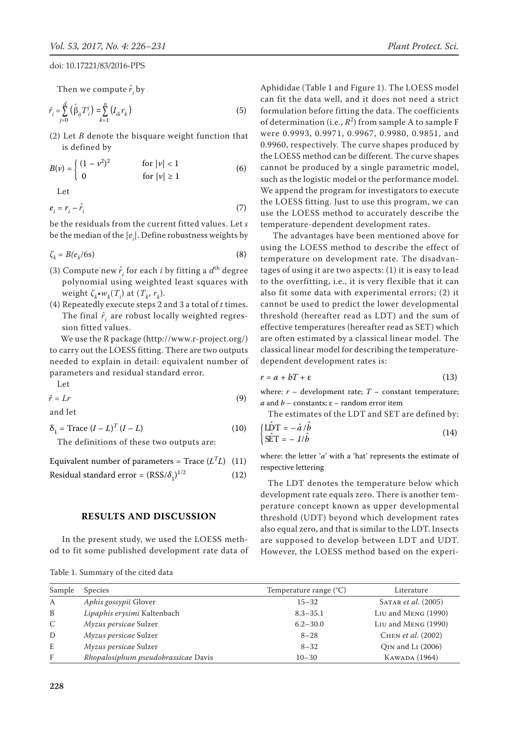Then we compute  $\hat{r}^{\,}_{i}$  by

$$
\hat{r}_i = \sum_{j=0}^d \left( \hat{\beta}_{ij} T_i^j \right) = \sum_{k=1}^n \left( I_{ik} r_k \right) \tag{5}
$$

(2) Let *B* denote the bisquare weight function that is defined by

$$
B(v) = \begin{cases} (1 - v^2)^2 & \text{for } |v| < 1\\ 0 & \text{for } |v| \ge 1 \end{cases}
$$
 (6)

Let

$$
e_i = r_i - \hat{r}_i \tag{7}
$$

be the residuals from the current fitted values. Let *s* be the median of the  $\left|e_{i}\right|$ . Define robustness weights by

$$
\zeta_k = B(e_k/6s) \tag{8}
$$

- (3) Compute new  $\hat{r}_i$  for each *i* by fitting a  $d^{\text{th}}$  degree polynomial using weighted least squares with  $\mathsf{weight} \, \zeta_k \cdot w_k(T_i) \text{ at } (T_k, r_k).$
- (4) Repeatedly execute steps 2 and 3 a total of *t* times. The final  $\hat{r}^{}_{i}$  are robust locally weighted regression fitted values.

 We use the R package (http://www.r-project.org/) to carry out the LOESS fitting. There are two outputs needed to explain in detail: equivalent number of parameters and residual standard error.

Let 
$$
\hat{r} = Lr
$$
 (9)

and let

 $\delta_1 = \text{Trace } (I - L)^T (I - L)$  (10)

The definitions of these two outputs are:

Equivalent number of parameters = Trace  $(L^T L)$  (11)

Residual standard error =  $(RSS/\delta_1)^{1/2}$  $(12)$ 

## **Results and discussion**

In the present study, we used the LOESS method to fit some published development rate data of

| Table 1. Summary of the cited data |  |  |  |
|------------------------------------|--|--|--|
|------------------------------------|--|--|--|

Aphididae (Table 1 and Figure 1). The LOESS model can fit the data well, and it does not need a strict formulation before fitting the data. The coefficients of determination (i.e.,  $R^2$ ) from sample A to sample F were 0.9993, 0.9971, 0.9967, 0.9980, 0.9851, and 0.9960, respectively. The curve shapes produced by the LOESS method can be different. The curve shapes cannot be produced by a single parametric model, such as the logistic model or the performance model. We append the program for investigators to execute the LOESS fitting. Just to use this program, we can use the LOESS method to accurately describe the temperature-dependent development rates.

 The advantages have been mentioned above for using the LOESS method to describe the effect of temperature on development rate. The disadvantages of using it are two aspects: (1) it is easy to lead to the overfitting, i.e., it is very flexible that it can also fit some data with experimental errors; (2) it cannot be used to predict the lower developmental threshold (hereafter read as LDT) and the sum of effective temperatures (hereafter read as SET) which are often estimated by a classical linear model. The classical linear model for describing the temperaturedependent development rates is:

$$
r = a + bT + \varepsilon \tag{13}
$$

where:  $r$  – development rate;  $T$  – constant temperature; *a* and *b* – constants;  $\varepsilon$  – random error item

The estimates of the LDT and SET are defined by:  $U\hat{D}T = -\hat{a}/\hat{k}$ 

$$
\begin{cases}\n\text{LDT} = -\hat{a}/b \\
\hat{\text{SET}} = -1/\hat{b}\n\end{cases} (14)
$$

where: the letter '*a*' with a 'hat' represents the estimate of respective lettering

The LDT denotes the temperature below which development rate equals zero. There is another temperature concept known as upper developmental threshold (UDT) beyond which development rates also equal zero, and that is similar to the LDT. Insects are supposed to develop between LDT and UDT. However, the LOESS method based on the experi-

| Sample       | <b>Species</b>                      | Temperature range $(^{\circ}C)$ | Literature                 |
|--------------|-------------------------------------|---------------------------------|----------------------------|
| A            | Aphis gossypii Glover               | $15 - 32$                       | SATAR <i>et al.</i> (2005) |
| B            | Lipaphis erysimi Kaltenbach         | $8.3 - 35.1$                    | Liu and MENG (1990)        |
| $\mathsf{C}$ | <i>Myzus persicae</i> Sulzer        | $6.2 - 30.0$                    | Liu and MENG (1990)        |
| D            | <i>Myzus persicae</i> Sulzer        | $8 - 28$                        | CHEN et al. (2002)         |
| E            | Myzus persicae Sulzer               | $8 - 32$                        | OIN and LI (2006)          |
| F            | Rhopalosiphum pseudobrassicae Davis | $10 - 30$                       | KAWADA (1964)              |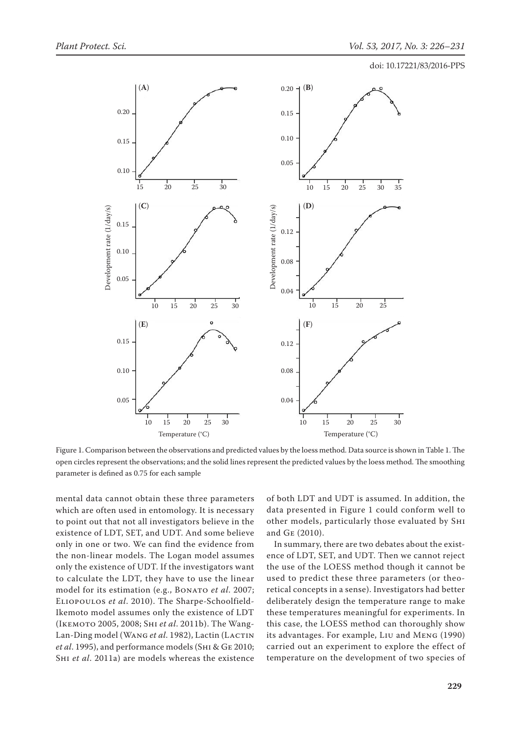

Figure 1. Comparison between the observations and predicted values by the loess method. Data source is shown in Table 1. The open circles represent the observations; and the solid lines represent the predicted values by the loess method. The smoothing parameter is defined as 0.75 for each sample

mental data cannot obtain these three parameters which are often used in entomology. It is necessary to point out that not all investigators believe in the existence of LDT, SET, and UDT. And some believe only in one or two. We can find the evidence from the non-linear models. The Logan model assumes only the existence of UDT. If the investigators want to calculate the LDT, they have to use the linear model for its estimation (e.g., BONATO et al. 2007; Eliopoulos *et al*. 2010). The Sharpe-Schoolfield-Ikemoto model assumes only the existence of LDT (Ikemoto 2005, 2008; Shi *et al*. 2011b). The Wang-Lan-Ding model (WANG et al. 1982), Lactin (LACTIN *et al*. 1995), and performance models (Shi & Ge 2010; Shi *et al*. 2011a) are models whereas the existence of both LDT and UDT is assumed. In addition, the data presented in Figure 1 could conform well to other models, particularly those evaluated by Shi and Ge (2010).

In summary, there are two debates about the existence of LDT, SET, and UDT. Then we cannot reject the use of the LOESS method though it cannot be used to predict these three parameters (or theoretical concepts in a sense). Investigators had better deliberately design the temperature range to make these temperatures meaningful for experiments. In this case, the LOESS method can thoroughly show its advantages. For example, Liu and Meng (1990) carried out an experiment to explore the effect of temperature on the development of two species of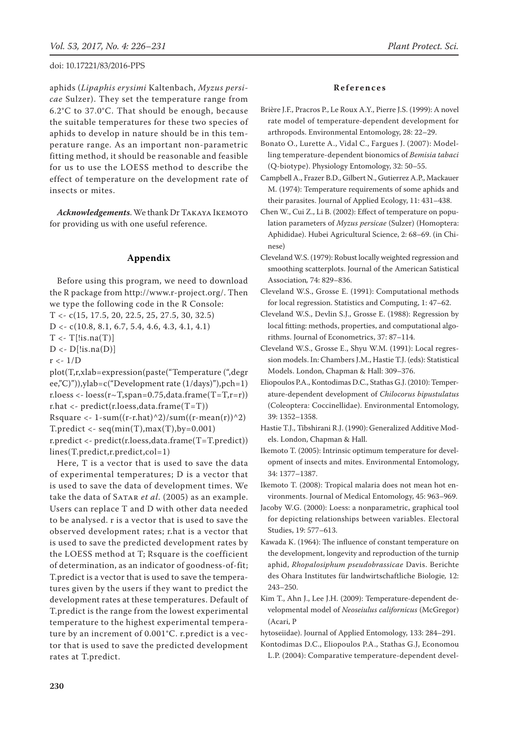aphids (*Lipaphis erysimi* Kaltenbach, *Myzus persicae* Sulzer). They set the temperature range from 6.2°C to 37.0°C. That should be enough, because the suitable temperatures for these two species of aphids to develop in nature should be in this temperature range. As an important non-parametric fitting method, it should be reasonable and feasible for us to use the LOESS method to describe the effect of temperature on the development rate of insects or mites.

*Acknowledgements*. We thank Dr Takaya Ikemoto for providing us with one useful reference.

#### **Appendix**

Before using this program, we need to download the R package from http://www.r-project.org/. Then we type the following code in the R Console:

- T <- c(15, 17.5, 20, 22.5, 25, 27.5, 30, 32.5)
- D <- c(10.8, 8.1, 6.7, 5.4, 4.6, 4.3, 4.1, 4.1)

 $T < -T$ [!is.na(T)]

 $D \leftarrow D$ [!is.na(D)]

 $r < -1/D$ 

plot(T,r,xlab=expression(paste("Temperature (",degr ee,"C)")),ylab=c("Development rate (1/days)"),pch=1) r.loess <- loess $(r\sim T, \text{span}=0.75, \text{data} \cdot \text{frame}(T=T, r=r))$ r.hat <- predict(r.loess,data.frame(T=T)) Rsquare  $\langle$  - 1-sum((r-r.hat)^2)/sum((r-mean(r))^2) T.predict  $\langle$  - seq(min(T), max(T), by=0.001) r.predict <- predict(r.loess,data.frame(T=T.predict)) lines(T.predict,r.predict,col=1)

Here, T is a vector that is used to save the data of experimental temperatures; D is a vector that is used to save the data of development times. We take the data of SATAR *et al.* (2005) as an example. Users can replace T and D with other data needed to be analysed. r is a vector that is used to save the observed development rates; r.hat is a vector that is used to save the predicted development rates by the LOESS method at T; Rsquare is the coefficient of determination, as an indicator of goodness-of-fit; T.predict is a vector that is used to save the temperatures given by the users if they want to predict the development rates at these temperatures. Default of T.predict is the range from the lowest experimental temperature to the highest experimental temperature by an increment of 0.001°C. r.predict is a vector that is used to save the predicted development rates at T.predict.

#### **References**

- Brière J.F., Pracros P., Le Roux A.Y., Pierre J.S. (1999): A novel rate model of temperature-dependent development for arthropods. Environmental Entomology, 28: 22–29.
- Bonato O., Lurette A., Vidal C., Fargues J. (2007): Modelling temperature-dependent bionomics of *Bemisia tabaci* (Q-biotype). Physiology Entomology, 32: 50*–*55.
- Campbell A., Frazer B.D., Gilbert N., Gutierrez A.P., Mackauer M. (1974): Temperature requirements of some aphids and their parasites. Journal of Applied Ecology, 11: 431–438.
- Chen W., Cui Z., Li B. (2002): Effect of temperature on population parameters of *Myzus persicae* (Sulzer) (Homoptera: Aphididae). Hubei Agricultural Science, 2: 68*–*69. (in Chinese)
- Cleveland W.S. (1979): Robust locally weighted regression and smoothing scatterplots. Journal of the American Satistical Association*,* 74: 829*–*836.
- Cleveland W.S., Grosse E. (1991): Computational methods for local regression. Statistics and Computing, 1: 47*–*62.
- Cleveland W.S., Devlin S.J., Grosse E. (1988): Regression by local fitting: methods, properties, and computational algorithms. Journal of Econometrics, 37: 87*–*114.
- Cleveland W.S., Grosse E., Shyu W.M. (1991): Local regression models. In: Chambers J.M., Hastie T.J. (eds): Statistical Models. London, Chapman & Hall: 309*–*376.
- Eliopoulos P.A., Kontodimas D.C., Stathas G.J. (2010): Temperature-dependent development of *Chilocorus bipustulatus* (Coleoptera: Coccinellidae). Environmental Entomology, 39: 1352*–*1358.
- Hastie T.J., Tibshirani R.J. (1990): Generalized Additive Models. London, Chapman & Hall.
- Ikemoto T. (2005): Intrinsic optimum temperature for development of insects and mites. Environmental Entomology, 34: 1377*–*1387.
- Ikemoto T. (2008): Tropical malaria does not mean hot environments. Journal of Medical Entomology, 45: 963*–*969.
- Jacoby W.G. (2000): Loess: a nonparametric, graphical tool for depicting relationships between variables. Electoral Studies, 19: 577*–*613.
- Kawada K. (1964): The influence of constant temperature on the development, longevity and reproduction of the turnip aphid, *Rhopalosiphum pseudobrassicae* Davis. Berichte des Ohara Institutes für landwirtschaftliche Biologie*,* 12: 243*–*250.
- Kim T., Ahn J., Lee J.H. (2009): Temperature-dependent developmental model of *Neoseiulus californicus* (McGregor) (Acari, P
- hytoseiidae). Journal of Applied Entomology*,* 133: 284*–*291.
- Kontodimas D.C., Eliopoulos P.A., Stathas G.J, Economou L.P. (2004): Comparative temperature-dependent devel-